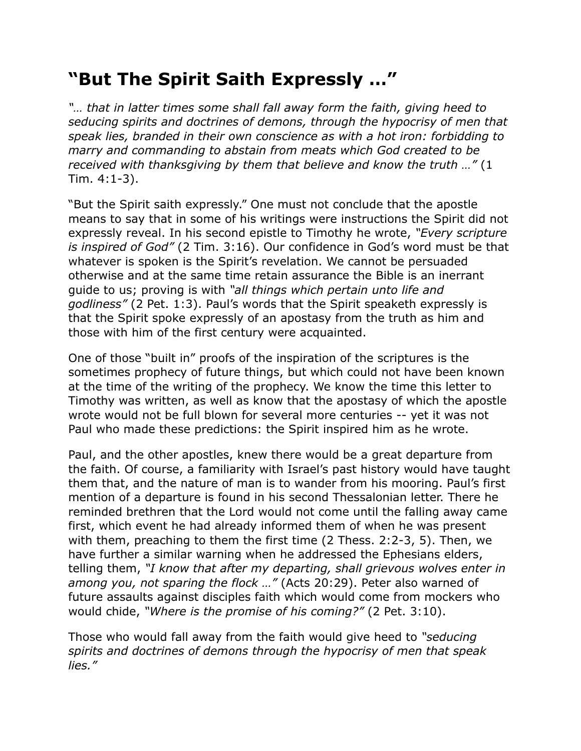## **"But The Spirit Saith Expressly …"**

*"… that in latter times some shall fall away form the faith, giving heed to seducing spirits and doctrines of demons, through the hypocrisy of men that speak lies, branded in their own conscience as with a hot iron: forbidding to marry and commanding to abstain from meats which God created to be received with thanksgiving by them that believe and know the truth …"* (1 Tim. 4:1-3).

"But the Spirit saith expressly." One must not conclude that the apostle means to say that in some of his writings were instructions the Spirit did not expressly reveal. In his second epistle to Timothy he wrote, *"Every scripture is inspired of God"* (2 Tim. 3:16). Our confidence in God's word must be that whatever is spoken is the Spirit's revelation. We cannot be persuaded otherwise and at the same time retain assurance the Bible is an inerrant guide to us; proving is with *"all things which pertain unto life and godliness"* (2 Pet. 1:3). Paul's words that the Spirit speaketh expressly is that the Spirit spoke expressly of an apostasy from the truth as him and those with him of the first century were acquainted.

One of those "built in" proofs of the inspiration of the scriptures is the sometimes prophecy of future things, but which could not have been known at the time of the writing of the prophecy. We know the time this letter to Timothy was written, as well as know that the apostasy of which the apostle wrote would not be full blown for several more centuries -- yet it was not Paul who made these predictions: the Spirit inspired him as he wrote.

Paul, and the other apostles, knew there would be a great departure from the faith. Of course, a familiarity with Israel's past history would have taught them that, and the nature of man is to wander from his mooring. Paul's first mention of a departure is found in his second Thessalonian letter. There he reminded brethren that the Lord would not come until the falling away came first, which event he had already informed them of when he was present with them, preaching to them the first time (2 Thess. 2:2-3, 5). Then, we have further a similar warning when he addressed the Ephesians elders, telling them, *"I know that after my departing, shall grievous wolves enter in among you, not sparing the flock …"* (Acts 20:29). Peter also warned of future assaults against disciples faith which would come from mockers who would chide, *"Where is the promise of his coming?"* (2 Pet. 3:10).

Those who would fall away from the faith would give heed to *"seducing spirits and doctrines of demons through the hypocrisy of men that speak lies."*